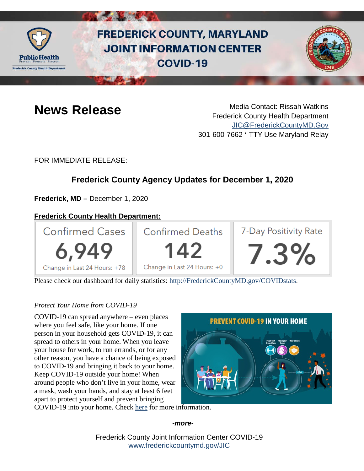

# **FREDERICK COUNTY, MARYLAND JOINT INFORMATION CENTER COVID-19**



**News Release** Media Contact: Rissah Watkins Frederick County Health Department [JIC@FrederickCountyMD.Gov](mailto:JIC@FrederickCountyMD.Gov) 301-600-7662 • TTY Use Maryland Relay

FOR IMMEDIATE RELEASE:

## **Frederick County Agency Updates for December 1, 2020**

**Frederick, MD –** December 1, 2020

### **Frederick County Health Department:**



Please check our dashboard for daily statistics: [http://FrederickCountyMD.gov/COVIDstats.](http://frederickcountymd.gov/COVIDstats)

#### *Protect Your Home from COVID-19*

COVID-19 can spread anywhere – even places where you feel safe, like your home. If one person in your household gets COVID-19, it can spread to others in your home. When you leave your house for work, to run errands, or for any other reason, you have a chance of being exposed to COVID-19 and bringing it back to your home. Keep COVID-19 outside your home! When around people who don't live in your home, wear a mask, wash your hands, and stay at least 6 feet apart to protect yourself and prevent bringing



COVID-19 into your home. Check [here](https://www.cdc.gov/coronavirus/2019-ncov/prevent-getting-sick/protect-your-home.html) for more information.

#### *-more-*

Frederick County Joint Information Center COVID-19 [www.frederickcountymd.gov/JIC](https://frederickcountymd.gov/JIC)